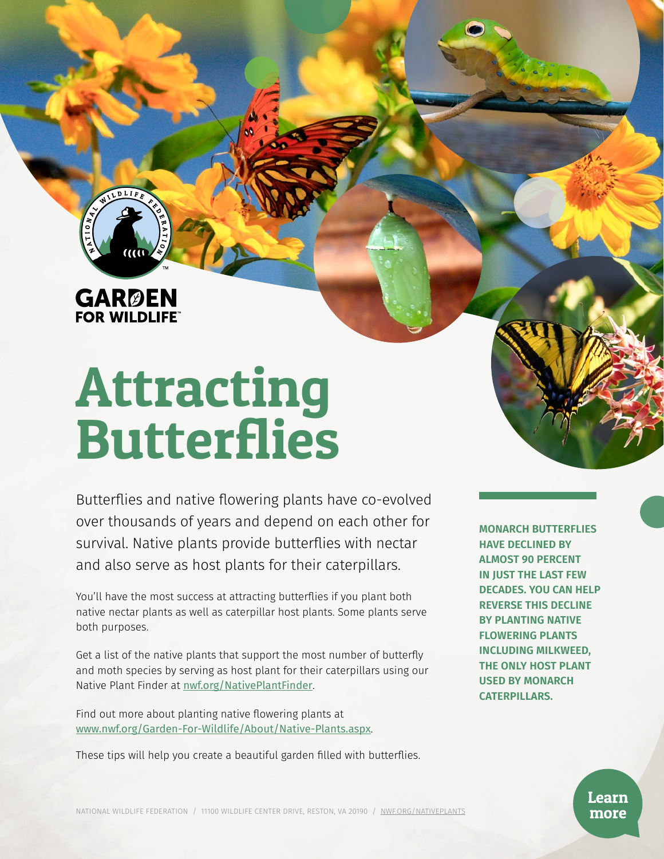**GARØEN**<br>FOR WILDLIFE

# Attracting **Butterflies**

Butterflies and native flowering plants have co-evolved over thousands of years and depend on each other for survival. Native plants provide butterflies with nectar and also serve as host plants for their caterpillars.

You'll have the most success at attracting butterflies if you plant both native nectar plants as well as caterpillar host plants. Some plants serve both purposes.

Get a list of the native plants that support the most number of butterfly and moth species by serving as host plant for their caterpillars using our Native Plant Finder at [nwf.org/NativePlantFinder](http://nwf.org/NativePlantFinder).

Find out more about planting native flowering plants at [www.nwf.org/Garden-For-Wildlife/About/Native-Plants.aspx](http://www.nwf.org/Garden-For-Wildlife/About/Native-Plants.aspx).

These tips will help you create a beautiful garden filled with butterflies.

**MONARCH BUTTERFLIES HAVE DECLINED BY ALMOST 90 PERCENT IN JUST THE LAST FEW DECADES. YOU CAN HELP REVERSE THIS DECLINE BY PLANTING NATIVE FLOWERING PLANTS INCLUDING MILKWEED, THE ONLY HOST PLANT USED BY MONARCH CATERPILLARS.**

> Learn more